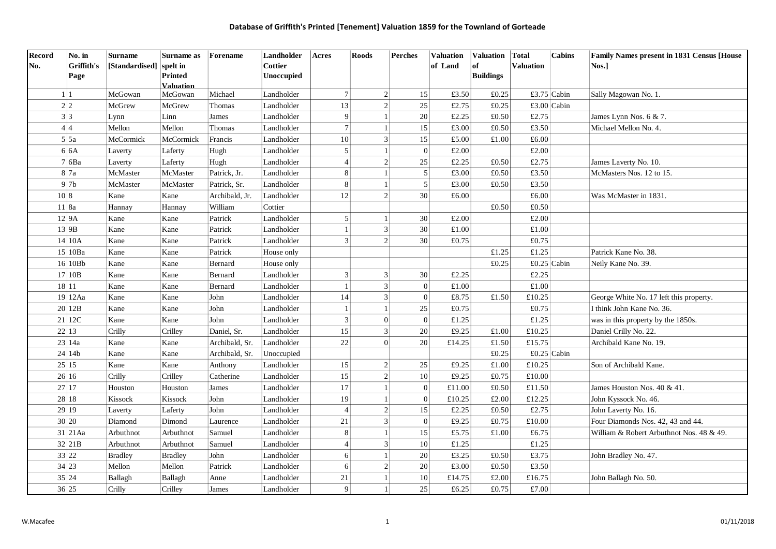| <b>Record</b> | No. in     | <b>Surname</b>          | Surname as       | Forename       | Landholder | Acres | <b>Roods</b>    |                | <b>Perches</b>   | <b>Valuation</b> | <b>Valuation</b> | Total            | Cabins      | Family Names present in 1831 Census [House |
|---------------|------------|-------------------------|------------------|----------------|------------|-------|-----------------|----------------|------------------|------------------|------------------|------------------|-------------|--------------------------------------------|
| No.           | Griffith's | [Standardised] spelt in |                  |                | Cottier    |       |                 |                |                  | of Land          | of               | <b>Valuation</b> |             | Nos.1                                      |
|               | Page       |                         | <b>Printed</b>   |                | Unoccupied |       |                 |                |                  |                  | <b>Buildings</b> |                  |             |                                            |
|               |            |                         | <b>Valuation</b> |                |            |       |                 |                |                  |                  |                  |                  |             |                                            |
| 1 1           |            | McGowan                 | McGowan          | Michael        | Landholder |       | 7               | $\overline{2}$ | 15               | £3.50            | £0.25            | £3.75 Cabin      |             | Sally Magowan No. 1.                       |
| 2 2           |            | McGrew                  | McGrew           | Thomas         | Landholder |       | 13              | $\overline{2}$ | 25               | £2.75            | £0.25            | £3.00 Cabin      |             |                                            |
| 3 3           |            | Lynn                    | Linn             | James          | Landholder |       | $\overline{9}$  | -1             | 20               | £2.25            | £0.50            | £2.75            |             | James Lynn Nos. 6 & 7.                     |
|               | 4 4        | Mellon                  | Mellon           | Thomas         | Landholder |       | $\overline{7}$  |                | 15               | £3.00            | £0.50            | £3.50            |             | Michael Mellon No. 4.                      |
|               | 5 5a       | McCormick               | McCormick        | Francis        | Landholder |       | 10 <sup>1</sup> | 3              | 15               | £5.00            | £1.00            | £6.00            |             |                                            |
|               | 6 6A       | Laverty                 | Laferty          | Hugh           | Landholder |       | $\vert$         | $\mathbf{1}$   | $\overline{0}$   | £2.00            |                  | $\pounds2.00$    |             |                                            |
|               | 7 6Ba      | Laverty                 | Laferty          | Hugh           | Landholder |       | $\overline{4}$  | $\overline{2}$ | 25               | £2.25            | £0.50            | £2.75            |             | James Laverty No. 10.                      |
|               | 8 7a       | McMaster                | McMaster         | Patrick, Jr.   | Landholder |       | 8 <sup>1</sup>  |                | $\sqrt{5}$       | £3.00            | £0.50            | £3.50            |             | McMasters Nos. 12 to 15.                   |
|               | 97b        | McMaster                | McMaster         | Patrick, Sr.   | Landholder |       | $\,8\,$         |                | 5                | £3.00            | £0.50            | £3.50            |             |                                            |
| 10 8          |            | Kane                    | Kane             | Archibald, Jr. | Landholder |       | 12              | $\mathfrak{D}$ | 30               | £6.00            |                  | £6.00            |             | Was McMaster in 1831.                      |
|               | 11 8a      | Hannay                  | Hannay           | William        | Cottier    |       |                 |                |                  |                  | £0.50            | £0.50            |             |                                            |
|               | 12 9A      | Kane                    | Kane             | Patrick        | Landholder |       | 5 <sup>1</sup>  | $\mathbf{1}$   | 30               | £2.00            |                  | £2.00            |             |                                            |
|               | 13 9B      | Kane                    | Kane             | Patrick        | Landholder |       | $\mathbf{1}$    | $\mathfrak{Z}$ | 30               | £1.00            |                  | £1.00            |             |                                            |
|               | 14 10A     | Kane                    | Kane             | Patrick        | Landholder |       | $\overline{3}$  | $\overline{2}$ | 30               | £0.75            |                  | £0.75            |             |                                            |
|               | 15 10Ba    | Kane                    | Kane             | Patrick        | House only |       |                 |                |                  |                  | £1.25            | £1.25            |             | Patrick Kane No. 38.                       |
|               | 16 10Bb    | Kane                    | Kane             | Bernard        | House only |       |                 |                |                  |                  | £0.25            |                  | £0.25 Cabin | Neily Kane No. 39.                         |
|               | 17 10B     | Kane                    | Kane             | Bernard        | Landholder |       | $\overline{3}$  | 3              | 30               | £2.25            |                  | £2.25            |             |                                            |
|               | 18 11      | Kane                    | Kane             | Bernard        | Landholder |       |                 | 3              | $\vert 0 \vert$  | £1.00            |                  | $\pounds1.00$    |             |                                            |
|               | 19 12Aa    | Kane                    | Kane             | John           | Landholder |       | 14              | 3              | $\Omega$         | £8.75            | £1.50            | £10.25           |             | George White No. 17 left this property.    |
|               | 20 12B     | Kane                    | Kane             | John           | Landholder |       | $\mathbf{1}$    | $\mathbf{1}$   | 25               | £0.75            |                  | £0.75            |             | I think John Kane No. 36.                  |
|               | 21 12C     | Kane                    | Kane             | John           | Landholder |       | 3               | $\Omega$       | $\Omega$         | £1.25            |                  | £1.25            |             | was in this property by the 1850s.         |
|               | 22 13      | Crilly                  | Crilley          | Daniel, Sr.    | Landholder |       | 15              | $\mathfrak{Z}$ | 20               | £9.25            | £1.00            | £10.25           |             | Daniel Crilly No. 22.                      |
|               | 23 14a     | Kane                    | Kane             | Archibald, Sr. | Landholder |       | 22              | $\Omega$       | 20               | £14.25           | £1.50            | £15.75           |             | Archibald Kane No. 19.                     |
|               | 24 14b     | Kane                    | Kane             | Archibald, Sr. | Unoccupied |       |                 |                |                  |                  | £0.25            | £0.25 Cabin      |             |                                            |
|               | 25 15      | Kane                    | Kane             | Anthony        | Landholder |       | 15              | $\mathbf{2}$   | 25               | £9.25            | $\pounds1.00$    | £10.25           |             | Son of Archibald Kane.                     |
|               | 26 16      | Crilly                  | Crilley          | Catherine      | Landholder |       | 15              | $\overline{2}$ | 10               | £9.25            | £0.75            | £10.00           |             |                                            |
|               | 27 17      | Houston                 | Houston          | James          | Landholder |       | $17\,$          | $\mathbf{1}$   | $\boldsymbol{0}$ | £11.00           | £0.50            | £11.50           |             | James Houston Nos. 40 & 41.                |
|               | 28 18      | Kissock                 | Kissock          | John           | Landholder |       | 19              | $\mathbf{1}$   | $\mathbf{0}$     | £10.25           | £2.00            | £12.25           |             | John Kyssock No. 46.                       |
|               | 29 19      | Laverty                 | Laferty          | John           | Landholder |       | $\overline{4}$  | $\mathfrak{D}$ | 15               | £2.25            | £0.50            | £2.75            |             | John Laverty No. 16.                       |
|               | 30 20      | Diamond                 | Dimond           | Laurence       | Landholder |       | 21              | 3              | $\mathbf{0}$     | £9.25            | £0.75            | £10.00           |             | Four Diamonds Nos. 42, 43 and 44.          |
|               | $31$ 21 Aa | Arbuthnot               | Arbuthnot        | Samuel         | Landholder |       | 8 <sup>1</sup>  | $\mathbf{1}$   | 15               | £5.75            | £1.00            | £6.75            |             | William & Robert Arbuthnot Nos. 48 & 49.   |
|               | 32 21B     | Arbuthnot               | Arbuthnot        | Samuel         | Landholder |       | $\overline{4}$  | 3              | 10               | £1.25            |                  | £1.25            |             |                                            |
|               | 33 22      | <b>Bradley</b>          | <b>Bradley</b>   | John           | Landholder |       | 6 <sup>1</sup>  | $\mathbf{1}$   | 20               | £3.25            | $\pounds0.50$    | £3.75            |             | John Bradley No. 47.                       |
|               | 34 23      | Mellon                  | Mellon           | Patrick        | Landholder |       | $6 \mid$        | $\overline{2}$ | 20               | £3.00            | £0.50            | £3.50            |             |                                            |
|               | 35 24      | Ballagh                 | Ballagh          | Anne           | Landholder |       | 21              | $\mathbf{1}$   | 10               | £14.75           | £2.00            | £16.75           |             | John Ballagh No. 50.                       |
|               | 36 25      | Crilly                  | Crilley          | James          | Landholder |       | 9               | $\mathbf{1}$   | 25               | £6.25            | £0.75            | £7.00            |             |                                            |